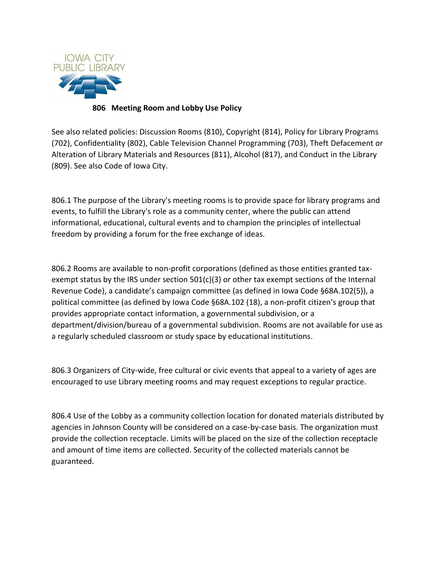

## **806 Meeting Room and Lobby Use Policy**

See also related policies: Discussion Rooms (810), Copyright (814), Policy for Library Programs (702), Confidentiality (802), Cable Television Channel Programming (703), Theft Defacement or Alteration of Library Materials and Resources (811), Alcohol (817), and Conduct in the Library (809). See also Code of Iowa City.

806.1 The purpose of the Library's meeting rooms is to provide space for library programs and events, to fulfill the Library's role as a community center, where the public can attend informational, educational, cultural events and to champion the principles of intellectual freedom by providing a forum for the free exchange of ideas.

806.2 Rooms are available to non-profit corporations (defined as those entities granted taxexempt status by the IRS under section 501(c)(3) or other tax exempt sections of the Internal Revenue Code), a candidate's campaign committee (as defined in Iowa Code §68A.102(5)), a political committee (as defined by Iowa Code §68A.102 (18), a non-profit citizen's group that provides appropriate contact information, a governmental subdivision, or a department/division/bureau of a governmental subdivision. Rooms are not available for use as a regularly scheduled classroom or study space by educational institutions.

806.3 Organizers of City-wide, free cultural or civic events that appeal to a variety of ages are encouraged to use Library meeting rooms and may request exceptions to regular practice.

806.4 Use of the Lobby as a community collection location for donated materials distributed by agencies in Johnson County will be considered on a case-by-case basis. The organization must provide the collection receptacle. Limits will be placed on the size of the collection receptacle and amount of time items are collected. Security of the collected materials cannot be guaranteed.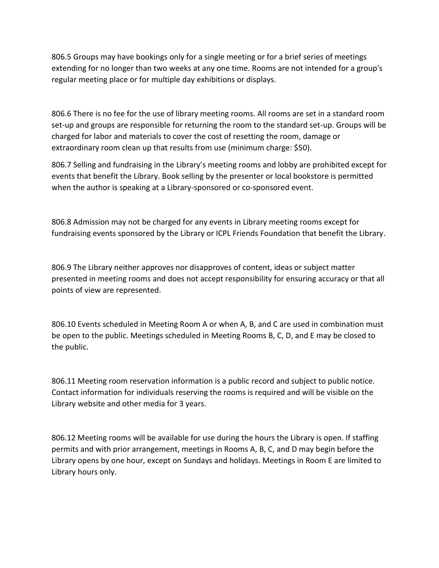806.5 Groups may have bookings only for a single meeting or for a brief series of meetings extending for no longer than two weeks at any one time. Rooms are not intended for a group's regular meeting place or for multiple day exhibitions or displays.

806.6 There is no fee for the use of library meeting rooms. All rooms are set in a standard room set-up and groups are responsible for returning the room to the standard set-up. Groups will be charged for labor and materials to cover the cost of resetting the room, damage or extraordinary room clean up that results from use (minimum charge: \$50).

806.7 Selling and fundraising in the Library's meeting rooms and lobby are prohibited except for events that benefit the Library. Book selling by the presenter or local bookstore is permitted when the author is speaking at a Library-sponsored or co-sponsored event.

806.8 Admission may not be charged for any events in Library meeting rooms except for fundraising events sponsored by the Library or ICPL Friends Foundation that benefit the Library.

806.9 The Library neither approves nor disapproves of content, ideas or subject matter presented in meeting rooms and does not accept responsibility for ensuring accuracy or that all points of view are represented.

806.10 Events scheduled in Meeting Room A or when A, B, and C are used in combination must be open to the public. Meetings scheduled in Meeting Rooms B, C, D, and E may be closed to the public.

806.11 Meeting room reservation information is a public record and subject to public notice. Contact information for individuals reserving the rooms is required and will be visible on the Library website and other media for 3 years.

806.12 Meeting rooms will be available for use during the hours the Library is open. If staffing permits and with prior arrangement, meetings in Rooms A, B, C, and D may begin before the Library opens by one hour, except on Sundays and holidays. Meetings in Room E are limited to Library hours only.